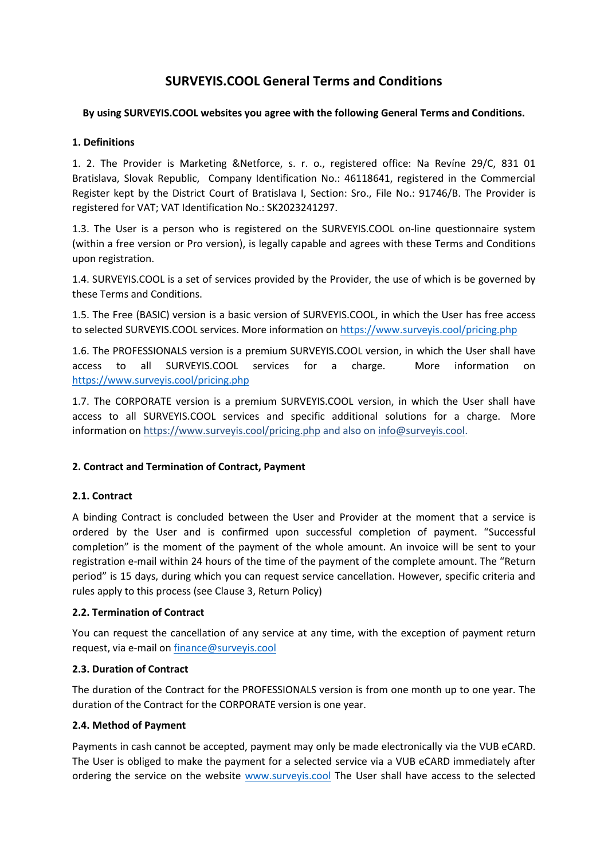# **SURVEYIS.COOL General Terms and Conditions**

### **By using SURVEYIS.COOL websites you agree with the following General Terms and Conditions.**

### **1. Definitions**

1. 2. The Provider is Marketing &Netforce, s. r. o., registered office: Na Revíne 29/C, 831 01 Bratislava, Slovak Republic, Company Identification No.: 46118641, registered in the Commercial Register kept by the District Court of Bratislava I, Section: Sro., File No.: 91746/B. The Provider is registered for VAT; VAT Identification No.: SK2023241297.

1.3. The User is a person who is registered on the SURVEYIS.COOL on-line questionnaire system (within a free version or Pro version), is legally capable and agrees with these Terms and Conditions upon registration.

1.4. SURVEYIS.COOL is a set of services provided by the Provider, the use of which is be governed by these Terms and Conditions.

1.5. The Free (BASIC) version is a basic version of SURVEYIS.COOL, in which the User has free access to selected SURVEYIS.COOL services. More information on<https://www.surveyis.cool/pricing.php>

1.6. The PROFESSIONALS version is a premium SURVEYIS.COOL version, in which the User shall have access to all SURVEYIS.COOL services for a charge. More information on <https://www.surveyis.cool/pricing.php>

1.7. The CORPORATE version is a premium SURVEYIS.COOL version, in which the User shall have access to all SURVEYIS.COOL services and specific additional solutions for a charge. More information on <https://www.surveyis.cool/pricing.php> and also on [info@surveyis.cool.](mailto:info@surveyis.cool)

# **2. Contract and Termination of Contract, Payment**

# **2.1. Contract**

A binding Contract is concluded between the User and Provider at the moment that a service is ordered by the User and is confirmed upon successful completion of payment. "Successful completion" is the moment of the payment of the whole amount. An invoice will be sent to your registration e-mail within 24 hours of the time of the payment of the complete amount. The "Return period" is 15 days, during which you can request service cancellation. However, specific criteria and rules apply to this process (see Clause 3, Return Policy)

#### **2.2. Termination of Contract**

You can request the cancellation of any service at any time, with the exception of payment return request, via e-mail on [finance@surveyis.cool](mailto:finance@surveyis.cool)

# **2.3. Duration of Contract**

The duration of the Contract for the PROFESSIONALS version is from one month up to one year. The duration of the Contract for the CORPORATE version is one year.

#### **2.4. Method of Payment**

Payments in cash cannot be accepted, payment may only be made electronically via the VUB eCARD. The User is obliged to make the payment for a selected service via a VUB eCARD immediately after ordering the service on the website [www.surveyis.cool](http://www.surveyis.cool/) The User shall have access to the selected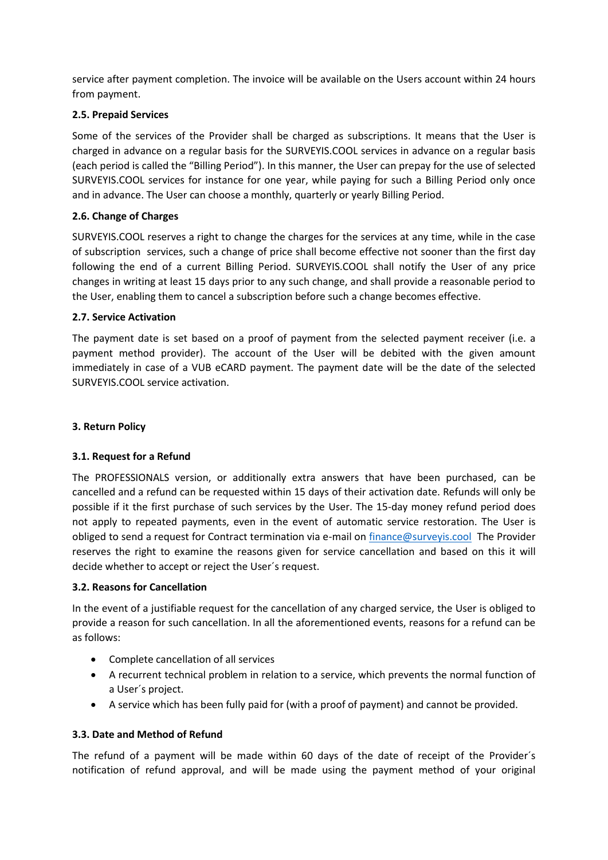service after payment completion. The invoice will be available on the Users account within 24 hours from payment.

# **2.5. Prepaid Services**

Some of the services of the Provider shall be charged as subscriptions. It means that the User is charged in advance on a regular basis for the SURVEYIS.COOL services in advance on a regular basis (each period is called the "Billing Period"). In this manner, the User can prepay for the use of selected SURVEYIS.COOL services for instance for one year, while paying for such a Billing Period only once and in advance. The User can choose a monthly, quarterly or yearly Billing Period.

### **2.6. Change of Charges**

SURVEYIS.COOL reserves a right to change the charges for the services at any time, while in the case of subscription services, such a change of price shall become effective not sooner than the first day following the end of a current Billing Period. SURVEYIS.COOL shall notify the User of any price changes in writing at least 15 days prior to any such change, and shall provide a reasonable period to the User, enabling them to cancel a subscription before such a change becomes effective.

### **2.7. Service Activation**

The payment date is set based on a proof of payment from the selected payment receiver (i.e. a payment method provider). The account of the User will be debited with the given amount immediately in case of a VUB eCARD payment. The payment date will be the date of the selected SURVEYIS.COOL service activation.

### **3. Return Policy**

# **3.1. Request for a Refund**

The PROFESSIONALS version, or additionally extra answers that have been purchased, can be cancelled and a refund can be requested within 15 days of their activation date. Refunds will only be possible if it the first purchase of such services by the User. The 15-day money refund period does not apply to repeated payments, even in the event of automatic service restoration. The User is obliged to send a request for Contract termination via e-mail on [finance@surveyis.cool](mailto:finance@surveyis.cool) The Provider reserves the right to examine the reasons given for service cancellation and based on this it will decide whether to accept or reject the User´s request.

#### **3.2. Reasons for Cancellation**

In the event of a justifiable request for the cancellation of any charged service, the User is obliged to provide a reason for such cancellation. In all the aforementioned events, reasons for a refund can be as follows:

- Complete cancellation of all services
- A recurrent technical problem in relation to a service, which prevents the normal function of a User´s project.
- A service which has been fully paid for (with a proof of payment) and cannot be provided.

# **3.3. Date and Method of Refund**

The refund of a payment will be made within 60 days of the date of receipt of the Provider´s notification of refund approval, and will be made using the payment method of your original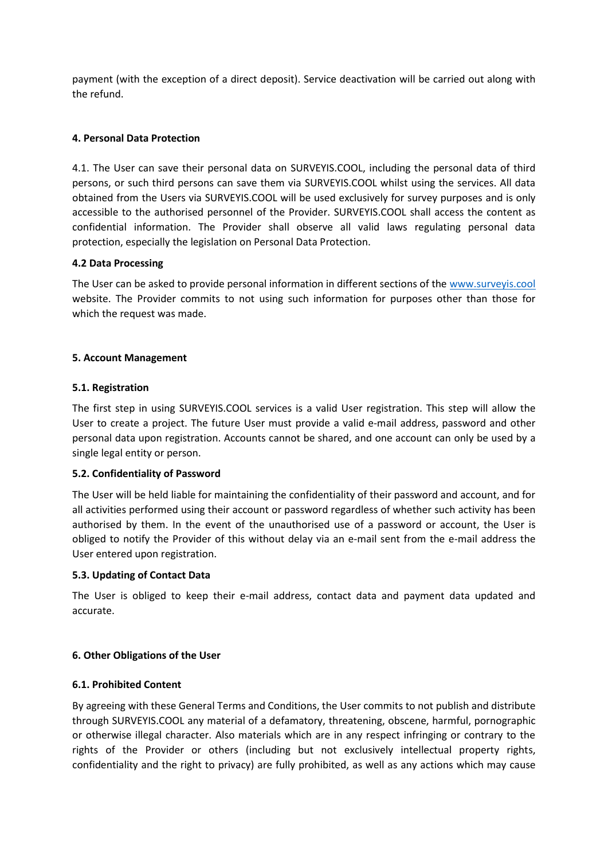payment (with the exception of a direct deposit). Service deactivation will be carried out along with the refund.

### **4. Personal Data Protection**

4.1. The User can save their personal data on SURVEYIS.COOL, including the personal data of third persons, or such third persons can save them via SURVEYIS.COOL whilst using the services. All data obtained from the Users via SURVEYIS.COOL will be used exclusively for survey purposes and is only accessible to the authorised personnel of the Provider. SURVEYIS.COOL shall access the content as confidential information. The Provider shall observe all valid laws regulating personal data protection, especially the legislation on Personal Data Protection.

#### **4.2 Data Processing**

The User can be asked to provide personal information in different sections of the [www.surveyis.cool](http://www.surveyis.cool/) website. The Provider commits to not using such information for purposes other than those for which the request was made.

#### **5. Account Management**

#### **5.1. Registration**

The first step in using SURVEYIS.COOL services is a valid User registration. This step will allow the User to create a project. The future User must provide a valid e-mail address, password and other personal data upon registration. Accounts cannot be shared, and one account can only be used by a single legal entity or person.

#### **5.2. Confidentiality of Password**

The User will be held liable for maintaining the confidentiality of their password and account, and for all activities performed using their account or password regardless of whether such activity has been authorised by them. In the event of the unauthorised use of a password or account, the User is obliged to notify the Provider of this without delay via an e-mail sent from the e-mail address the User entered upon registration.

#### **5.3. Updating of Contact Data**

The User is obliged to keep their e-mail address, contact data and payment data updated and accurate.

#### **6. Other Obligations of the User**

#### **6.1. Prohibited Content**

By agreeing with these General Terms and Conditions, the User commits to not publish and distribute through SURVEYIS.COOL any material of a defamatory, threatening, obscene, harmful, pornographic or otherwise illegal character. Also materials which are in any respect infringing or contrary to the rights of the Provider or others (including but not exclusively intellectual property rights, confidentiality and the right to privacy) are fully prohibited, as well as any actions which may cause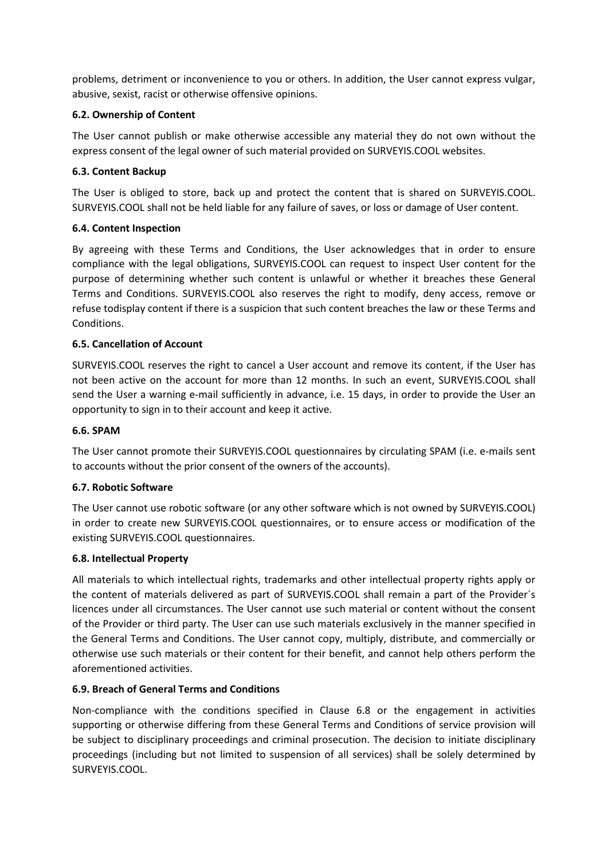problems, detriment or inconvenience to you or others. In addition, the User cannot express vulgar, abusive, sexist, racist or otherwise offensive opinions.

# **6.2. Ownership of Content**

The User cannot publish or make otherwise accessible any material they do not own without the express consent of the legal owner of such material provided on SURVEYIS.COOL websites.

# **6.3. Content Backup**

The User is obliged to store, back up and protect the content that is shared on SURVEYIS.COOL. SURVEYIS.COOL shall not be held liable for any failure of saves, or loss or damage of User content.

# **6.4. Content Inspection**

By agreeing with these Terms and Conditions, the User acknowledges that in order to ensure compliance with the legal obligations, SURVEYIS.COOL can request to inspect User content for the purpose of determining whether such content is unlawful or whether it breaches these General Terms and Conditions. SURVEYIS.COOL also reserves the right to modify, deny access, remove or refuse todisplay content if there is a suspicion that such content breaches the law or these Terms and Conditions.

# **6.5. Cancellation of Account**

SURVEYIS.COOL reserves the right to cancel a User account and remove its content, if the User has not been active on the account for more than 12 months. In such an event, SURVEYIS.COOL shall send the User a warning e-mail sufficiently in advance, i.e. 15 days, in order to provide the User an opportunity to sign in to their account and keep it active.

# **6.6. SPAM**

The User cannot promote their SURVEYIS.COOL questionnaires by circulating SPAM (i.e. e-mails sent to accounts without the prior consent of the owners of the accounts).

# **6.7. Robotic Software**

The User cannot use robotic software (or any other software which is not owned by SURVEYIS.COOL) in order to create new SURVEYIS.COOL questionnaires, or to ensure access or modification of the existing SURVEYIS.COOL questionnaires.

# **6.8. Intellectual Property**

All materials to which intellectual rights, trademarks and other intellectual property rights apply or the content of materials delivered as part of SURVEYIS.COOL shall remain a part of the Provider´s licences under all circumstances. The User cannot use such material or content without the consent of the Provider or third party. The User can use such materials exclusively in the manner specified in the General Terms and Conditions. The User cannot copy, multiply, distribute, and commercially or otherwise use such materials or their content for their benefit, and cannot help others perform the aforementioned activities.

# **6.9. Breach of General Terms and Conditions**

Non-compliance with the conditions specified in Clause 6.8 or the engagement in activities supporting or otherwise differing from these General Terms and Conditions of service provision will be subject to disciplinary proceedings and criminal prosecution. The decision to initiate disciplinary proceedings (including but not limited to suspension of all services) shall be solely determined by SURVEYIS.COOL.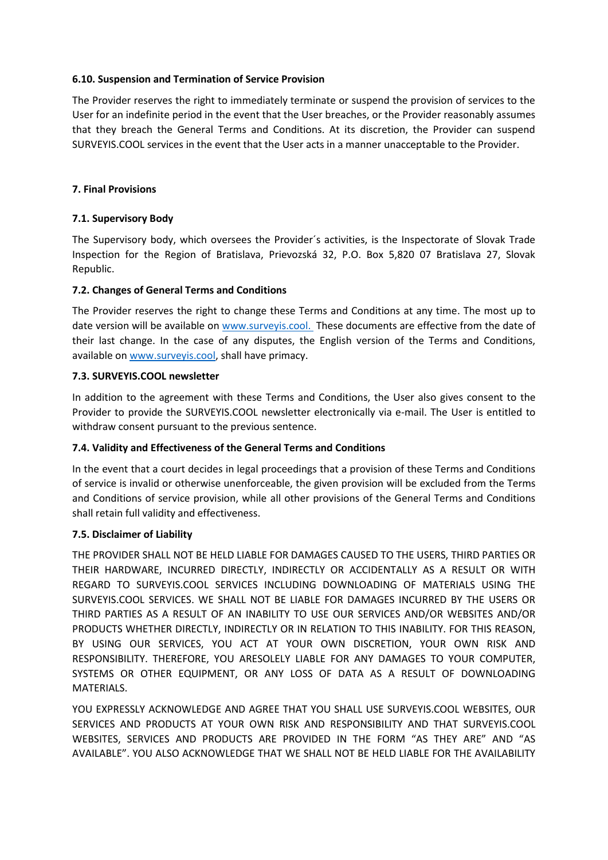### **6.10. Suspension and Termination of Service Provision**

The Provider reserves the right to immediately terminate or suspend the provision of services to the User for an indefinite period in the event that the User breaches, or the Provider reasonably assumes that they breach the General Terms and Conditions. At its discretion, the Provider can suspend SURVEYIS.COOL services in the event that the User acts in a manner unacceptable to the Provider.

### **7. Final Provisions**

### **7.1. Supervisory Body**

The Supervisory body, which oversees the Provider´s activities, is the Inspectorate of Slovak Trade Inspection for the Region of Bratislava, Prievozská 32, P.O. Box 5,820 07 Bratislava 27, Slovak Republic.

### **7.2. Changes of General Terms and Conditions**

The Provider reserves the right to change these Terms and Conditions at any time. The most up to date version will be available on [www.surveyis.cool.](http://www.surveyis.cool/) These documents are effective from the date of their last change. In the case of any disputes, the English version of the Terms and Conditions, available on [www.surveyis.cool,](http://www.surveyis.cool/) shall have primacy.

#### **7.3. SURVEYIS.COOL newsletter**

In addition to the agreement with these Terms and Conditions, the User also gives consent to the Provider to provide the SURVEYIS.COOL newsletter electronically via e-mail. The User is entitled to withdraw consent pursuant to the previous sentence.

# **7.4. Validity and Effectiveness of the General Terms and Conditions**

In the event that a court decides in legal proceedings that a provision of these Terms and Conditions of service is invalid or otherwise unenforceable, the given provision will be excluded from the Terms and Conditions of service provision, while all other provisions of the General Terms and Conditions shall retain full validity and effectiveness.

#### **7.5. Disclaimer of Liability**

THE PROVIDER SHALL NOT BE HELD LIABLE FOR DAMAGES CAUSED TO THE USERS, THIRD PARTIES OR THEIR HARDWARE, INCURRED DIRECTLY, INDIRECTLY OR ACCIDENTALLY AS A RESULT OR WITH REGARD TO SURVEYIS.COOL SERVICES INCLUDING DOWNLOADING OF MATERIALS USING THE SURVEYIS.COOL SERVICES. WE SHALL NOT BE LIABLE FOR DAMAGES INCURRED BY THE USERS OR THIRD PARTIES AS A RESULT OF AN INABILITY TO USE OUR SERVICES AND/OR WEBSITES AND/OR PRODUCTS WHETHER DIRECTLY, INDIRECTLY OR IN RELATION TO THIS INABILITY. FOR THIS REASON, BY USING OUR SERVICES, YOU ACT AT YOUR OWN DISCRETION, YOUR OWN RISK AND RESPONSIBILITY. THEREFORE, YOU ARESOLELY LIABLE FOR ANY DAMAGES TO YOUR COMPUTER, SYSTEMS OR OTHER EQUIPMENT, OR ANY LOSS OF DATA AS A RESULT OF DOWNLOADING MATERIALS.

YOU EXPRESSLY ACKNOWLEDGE AND AGREE THAT YOU SHALL USE SURVEYIS.COOL WEBSITES, OUR SERVICES AND PRODUCTS AT YOUR OWN RISK AND RESPONSIBILITY AND THAT SURVEYIS.COOL WEBSITES, SERVICES AND PRODUCTS ARE PROVIDED IN THE FORM "AS THEY ARE" AND "AS AVAILABLE". YOU ALSO ACKNOWLEDGE THAT WE SHALL NOT BE HELD LIABLE FOR THE AVAILABILITY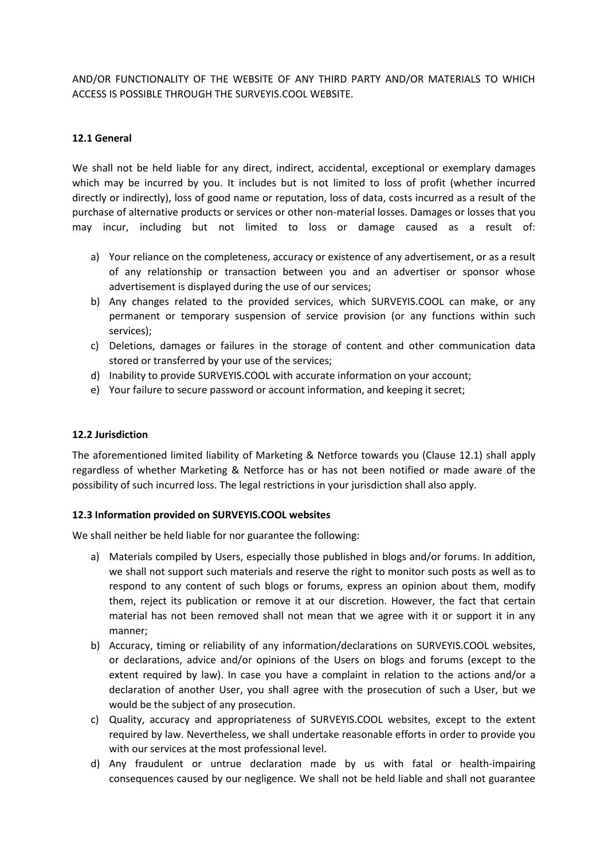AND/OR FUNCTIONALITY OF THE WEBSITE OF ANY THIRD PARTY AND/OR MATERIALS TO WHICH ACCESS IS POSSIBLE THROUGH THE SURVEYIS.COOL WEBSITE.

### **12.1 General**

We shall not be held liable for any direct, indirect, accidental, exceptional or exemplary damages which may be incurred by you. It includes but is not limited to loss of profit (whether incurred directly or indirectly), loss of good name or reputation, loss of data, costs incurred as a result of the purchase of alternative products or services or other non-material losses. Damages or losses that you may incur, including but not limited to loss or damage caused as a result of:

- a) Your reliance on the completeness, accuracy or existence of any advertisement, or as a result of any relationship or transaction between you and an advertiser or sponsor whose advertisement is displayed during the use of our services;
- b) Any changes related to the provided services, which SURVEYIS.COOL can make, or any permanent or temporary suspension of service provision (or any functions within such services);
- c) Deletions, damages or failures in the storage of content and other communication data stored or transferred by your use of the services;
- d) Inability to provide SURVEYIS.COOL with accurate information on your account;
- e) Your failure to secure password or account information, and keeping it secret;

### **12.2 Jurisdiction**

The aforementioned limited liability of Marketing & Netforce towards you (Clause 12.1) shall apply regardless of whether Marketing & Netforce has or has not been notified or made aware of the possibility of such incurred loss. The legal restrictions in your jurisdiction shall also apply.

#### **12.3 Information provided on SURVEYIS.COOL websites**

We shall neither be held liable for nor guarantee the following:

- a) Materials compiled by Users, especially those published in blogs and/or forums. In addition, we shall not support such materials and reserve the right to monitor such posts as well as to respond to any content of such blogs or forums, express an opinion about them, modify them, reject its publication or remove it at our discretion. However, the fact that certain material has not been removed shall not mean that we agree with it or support it in any manner;
- b) Accuracy, timing or reliability of any information/declarations on SURVEYIS.COOL websites, or declarations, advice and/or opinions of the Users on blogs and forums (except to the extent required by law). In case you have a complaint in relation to the actions and/or a declaration of another User, you shall agree with the prosecution of such a User, but we would be the subject of any prosecution.
- c) Quality, accuracy and appropriateness of SURVEYIS.COOL websites, except to the extent required by law. Nevertheless, we shall undertake reasonable efforts in order to provide you with our services at the most professional level.
- d) Any fraudulent or untrue declaration made by us with fatal or health-impairing consequences caused by our negligence. We shall not be held liable and shall not guarantee